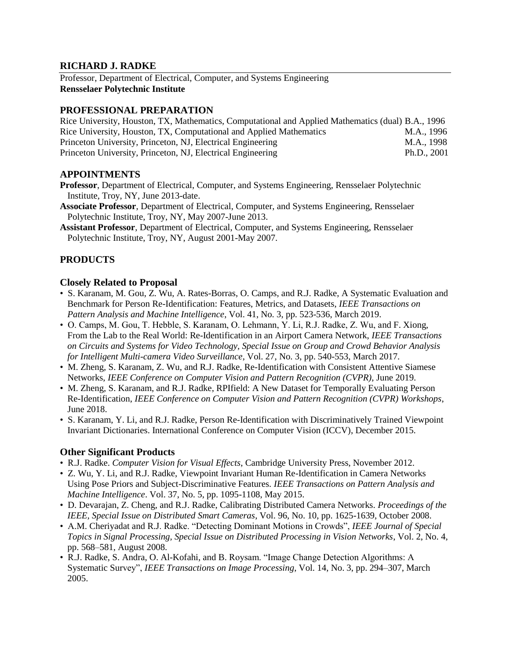## **RICHARD J. RADKE**

Professor, Department of Electrical, Computer, and Systems Engineering **Rensselaer Polytechnic Institute**

## **PROFESSIONAL PREPARATION**

| Rice University, Houston, TX, Mathematics, Computational and Applied Mathematics (dual) B.A., 1996 |             |
|----------------------------------------------------------------------------------------------------|-------------|
| Rice University, Houston, TX, Computational and Applied Mathematics                                | M.A., 1996  |
| Princeton University, Princeton, NJ, Electrical Engineering                                        | M.A., 1998  |
| Princeton University, Princeton, NJ, Electrical Engineering                                        | Ph.D., 2001 |

## **APPOINTMENTS**

- **Professor**, Department of Electrical, Computer, and Systems Engineering, Rensselaer Polytechnic Institute, Troy, NY, June 2013-date.
- **Associate Professor**, Department of Electrical, Computer, and Systems Engineering, Rensselaer Polytechnic Institute, Troy, NY, May 2007-June 2013.
- **Assistant Professor**, Department of Electrical, Computer, and Systems Engineering, Rensselaer Polytechnic Institute, Troy, NY, August 2001-May 2007.

## **PRODUCTS**

## **Closely Related to Proposal**

- S. Karanam, M. Gou, Z. Wu, A. Rates-Borras, O. Camps, and R.J. Radke, A Systematic Evaluation and Benchmark for Person Re-Identification: Features, Metrics, and Datasets, *IEEE Transactions on Pattern Analysis and Machine Intelligence*, Vol. 41, No. 3, pp. 523-536, March 2019.
- O. Camps, M. Gou, T. Hebble, S. Karanam, O. Lehmann, Y. Li, R.J. Radke, Z. Wu, and F. Xiong, From the Lab to the Real World: Re-Identification in an Airport Camera Network, *IEEE Transactions on Circuits and Systems for Video Technology, Special Issue on Group and Crowd Behavior Analysis for Intelligent Multi-camera Video Surveillance*, Vol. 27, No. 3, pp. 540-553, March 2017.
- M. Zheng, S. Karanam, Z. Wu, and R.J. Radke, Re-Identification with Consistent Attentive Siamese Networks, *IEEE Conference on Computer Vision and Pattern Recognition (CVPR)*, June 2019.
- M. Zheng, S. Karanam, and R.J. Radke, RPIfield: A New Dataset for Temporally Evaluating Person Re-Identification, *IEEE Conference on Computer Vision and Pattern Recognition (CVPR) Workshops*, June 2018.
- S. Karanam, Y. Li, and R.J. Radke, Person Re-Identification with Discriminatively Trained Viewpoint Invariant Dictionaries. International Conference on Computer Vision (ICCV), December 2015.

#### **Other Significant Products**

- R.J. Radke. *Computer Vision for Visual Effects*, Cambridge University Press, November 2012.
- Z. Wu, Y. Li, and R.J. Radke, Viewpoint Invariant Human Re-Identification in Camera Networks Using Pose Priors and Subject-Discriminative Features. *IEEE Transactions on Pattern Analysis and Machine Intelligence*. Vol. 37, No. 5, pp. 1095-1108, May 2015.
- D. Devarajan, Z. Cheng, and R.J. Radke, Calibrating Distributed Camera Networks. *Proceedings of the IEEE, Special Issue on Distributed Smart Cameras*, Vol. 96, No. 10, pp. 1625-1639, October 2008.
- A.M. Cheriyadat and R.J. Radke. "Detecting Dominant Motions in Crowds", *IEEE Journal of Special Topics in Signal Processing, Special Issue on Distributed Processing in Vision Networks*, Vol. 2, No. 4, pp. 568–581, August 2008.
- R.J. Radke, S. Andra, O. Al-Kofahi, and B. Roysam. "Image Change Detection Algorithms: A Systematic Survey", *IEEE Transactions on Image Processing*, Vol. 14, No. 3, pp. 294–307, March 2005.